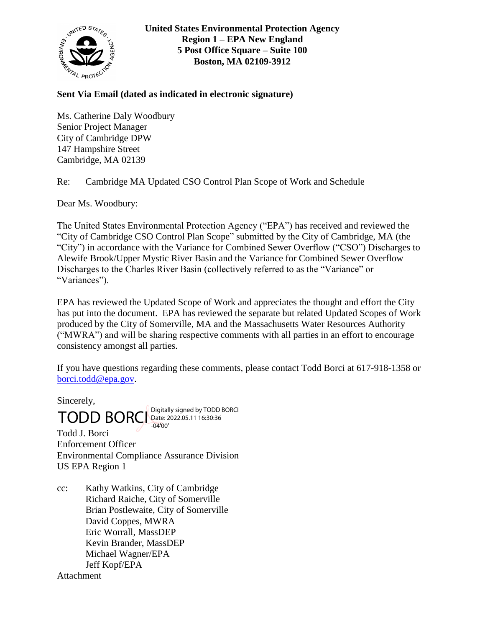

**United States Environmental Protection Agency Region 1 – EPA New England 5 Post Office Square – Suite 100 Boston, MA 02109-3912**

## **Sent Via Email (dated as indicated in electronic signature)**

Ms. Catherine Daly Woodbury Senior Project Manager City of Cambridge DPW 147 Hampshire Street Cambridge, MA 02139

Re: Cambridge MA Updated CSO Control Plan Scope of Work and Schedule

Dear Ms. Woodbury:

The United States Environmental Protection Agency ("EPA") has received and reviewed the "City of Cambridge CSO Control Plan Scope" submitted by the City of Cambridge, MA (the "City") in accordance with the Variance for Combined Sewer Overflow ("CSO") Discharges to Alewife Brook/Upper Mystic River Basin and the Variance for Combined Sewer Overflow Discharges to the Charles River Basin (collectively referred to as the "Variance" or "Variances").

EPA has reviewed the Updated Scope of Work and appreciates the thought and effort the City has put into the document. EPA has reviewed the separate but related Updated Scopes of Work produced by the City of Somerville, MA and the Massachusetts Water Resources Authority ("MWRA") and will be sharing respective comments with all parties in an effort to encourage consistency amongst all parties.

If you have questions regarding these comments, please contact Todd Borci at 617-918-1358 or [borci.todd@epa.gov.](mailto:borci.todd@epa.gov)

Sincerely,

 $\text{TOPBORC}$  Digitally signed by TODD BORCI -04'00'

Todd J. Borci Enforcement Officer Environmental Compliance Assurance Division US EPA Region 1

cc: Kathy Watkins, City of Cambridge Richard Raiche, City of Somerville Brian Postlewaite, City of Somerville David Coppes, MWRA Eric Worrall, MassDEP Kevin Brander, MassDEP Michael Wagner/EPA Jeff Kopf/EPA **Attachment**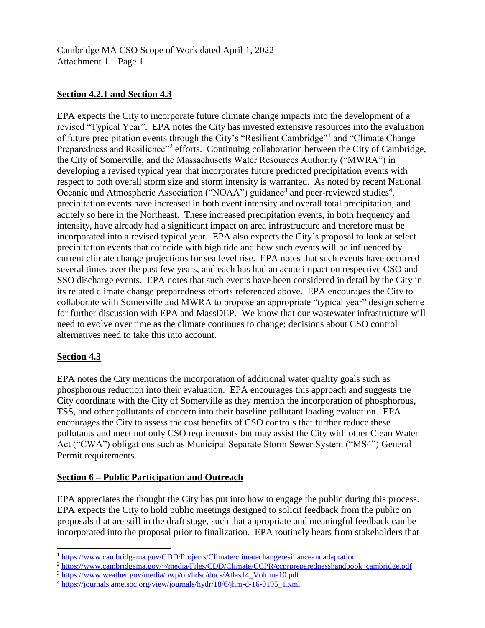Cambridge MA CSO Scope of Work dated April 1, 2022 Attachment 1 – Page 1

# **Section 4.2.1 and Section 4.3**

EPA expects the City to incorporate future climate change impacts into the development of a revised "Typical Year". EPA notes the City has invested extensive resources into the evaluation of future precipitation events through the City's "Resilient Cambridge"<sup>1</sup> and "Climate Change Preparedness and Resilience"<sup>2</sup> efforts. Continuing collaboration between the City of Cambridge, the City of Somerville, and the Massachusetts Water Resources Authority ("MWRA") in developing a revised typical year that incorporates future predicted precipitation events with respect to both overall storm size and storm intensity is warranted. As noted by recent National Oceanic and Atmospheric Association ("NOAA") guidance<sup>3</sup> and peer-reviewed studies<sup>4</sup>, precipitation events have increased in both event intensity and overall total precipitation, and acutely so here in the Northeast. These increased precipitation events, in both frequency and intensity, have already had a significant impact on area infrastructure and therefore must be incorporated into a revised typical year. EPA also expects the City's proposal to look at select precipitation events that coincide with high tide and how such events will be influenced by current climate change projections for sea level rise. EPA notes that such events have occurred several times over the past few years, and each has had an acute impact on respective CSO and SSO discharge events. EPA notes that such events have been considered in detail by the City in its related climate change preparedness efforts referenced above. EPA encourages the City to collaborate with Somerville and MWRA to propose an appropriate "typical year" design scheme for further discussion with EPA and MassDEP. We know that our wastewater infrastructure will need to evolve over time as the climate continues to change; decisions about CSO control alternatives need to take this into account.

## **Section 4.3**

 $\overline{a}$ 

EPA notes the City mentions the incorporation of additional water quality goals such as phosphorous reduction into their evaluation. EPA encourages this approach and suggests the City coordinate with the City of Somerville as they mention the incorporation of phosphorous, TSS, and other pollutants of concern into their baseline pollutant loading evaluation. EPA encourages the City to assess the cost benefits of CSO controls that further reduce these pollutants and meet not only CSO requirements but may assist the City with other Clean Water Act ("CWA") obligations such as Municipal Separate Storm Sewer System ("MS4") General Permit requirements.

## **Section 6 – Public Participation and Outreach**

EPA appreciates the thought the City has put into how to engage the public during this process. EPA expects the City to hold public meetings designed to solicit feedback from the public on proposals that are still in the draft stage, such that appropriate and meaningful feedback can be incorporated into the proposal prior to finalization. EPA routinely hears from stakeholders that

<sup>1</sup> <https://www.cambridgema.gov/CDD/Projects/Climate/climatechangeresilianceandadaptation>

<sup>2</sup> [https://www.cambridgema.gov/~/media/Files/CDD/Climate/CCPR/ccprpreparednesshandbook\\_cambridge.pdf](https://www.cambridgema.gov/~/media/Files/CDD/Climate/CCPR/ccprpreparednesshandbook_cambridge.pdf)

<sup>&</sup>lt;sup>3</sup> [https://www.weather.gov/media/owp/oh/hdsc/docs/Atlas14\\_Volume10.pdf](https://www.weather.gov/media/owp/oh/hdsc/docs/Atlas14_Volume10.pdf)

<sup>4</sup> [https://journals.ametsoc.org/view/journals/hydr/18/6/jhm-d-16-0195\\_1.xml](https://journals.ametsoc.org/view/journals/hydr/18/6/jhm-d-16-0195_1.xml)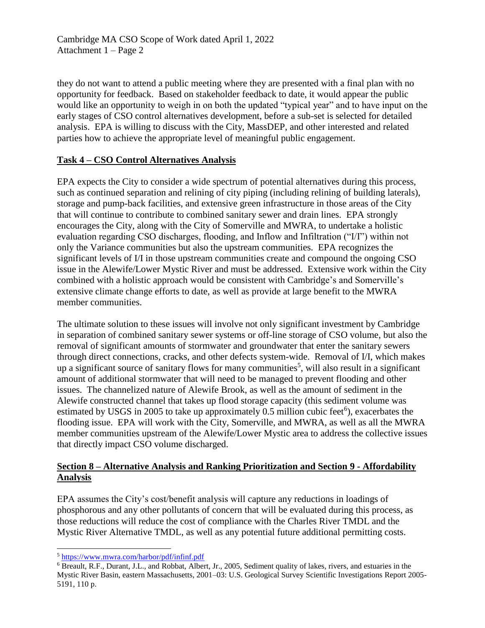Cambridge MA CSO Scope of Work dated April 1, 2022 Attachment 1 – Page 2

they do not want to attend a public meeting where they are presented with a final plan with no opportunity for feedback. Based on stakeholder feedback to date, it would appear the public would like an opportunity to weigh in on both the updated "typical year" and to have input on the early stages of CSO control alternatives development, before a sub-set is selected for detailed analysis. EPA is willing to discuss with the City, MassDEP, and other interested and related parties how to achieve the appropriate level of meaningful public engagement.

## **Task 4 – CSO Control Alternatives Analysis**

EPA expects the City to consider a wide spectrum of potential alternatives during this process, such as continued separation and relining of city piping (including relining of building laterals), storage and pump-back facilities, and extensive green infrastructure in those areas of the City that will continue to contribute to combined sanitary sewer and drain lines. EPA strongly encourages the City, along with the City of Somerville and MWRA, to undertake a holistic evaluation regarding CSO discharges, flooding, and Inflow and Infiltration ("I/I") within not only the Variance communities but also the upstream communities. EPA recognizes the significant levels of I/I in those upstream communities create and compound the ongoing CSO issue in the Alewife/Lower Mystic River and must be addressed. Extensive work within the City combined with a holistic approach would be consistent with Cambridge's and Somerville's extensive climate change efforts to date, as well as provide at large benefit to the MWRA member communities.

The ultimate solution to these issues will involve not only significant investment by Cambridge in separation of combined sanitary sewer systems or off-line storage of CSO volume, but also the removal of significant amounts of stormwater and groundwater that enter the sanitary sewers through direct connections, cracks, and other defects system-wide. Removal of I/I, which makes up a significant source of sanitary flows for many communities<sup>5</sup>, will also result in a significant amount of additional stormwater that will need to be managed to prevent flooding and other issues. The channelized nature of Alewife Brook, as well as the amount of sediment in the Alewife constructed channel that takes up flood storage capacity (this sediment volume was estimated by USGS in 2005 to take up approximately  $0.5$  million cubic feet<sup>6</sup>), exacerbates the flooding issue. EPA will work with the City, Somerville, and MWRA, as well as all the MWRA member communities upstream of the Alewife/Lower Mystic area to address the collective issues that directly impact CSO volume discharged.

## **Section 8 – Alternative Analysis and Ranking Prioritization and Section 9 - Affordability Analysis**

EPA assumes the City's cost/benefit analysis will capture any reductions in loadings of phosphorous and any other pollutants of concern that will be evaluated during this process, as those reductions will reduce the cost of compliance with the Charles River TMDL and the Mystic River Alternative TMDL, as well as any potential future additional permitting costs.

 $\overline{a}$ 

<sup>&</sup>lt;sup>5</sup> <https://www.mwra.com/harbor/pdf/infinf.pdf>

<sup>6</sup> Breault, R.F., Durant, J.L., and Robbat, Albert, Jr., 2005, Sediment quality of lakes, rivers, and estuaries in the Mystic River Basin, eastern Massachusetts, 2001–03: U.S. Geological Survey Scientific Investigations Report 2005- 5191, 110 p.